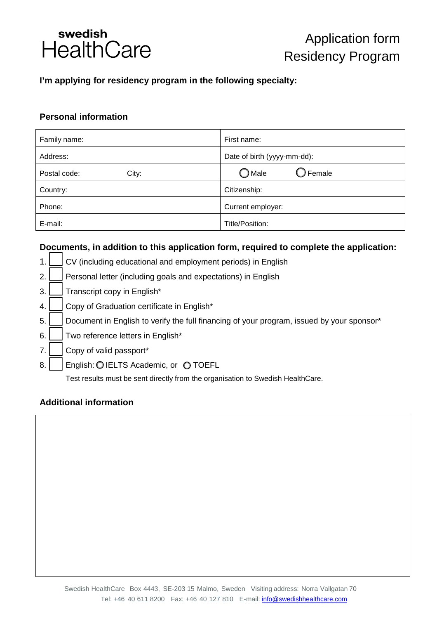

# **I'm applying for residency program in the following specialty:**

## **Personal information**

| Family name:          | First name:                          |
|-----------------------|--------------------------------------|
| Address:              | Date of birth (yyyy-mm-dd):          |
| Postal code:<br>City: | $\bigcirc$ Female<br>$\bigcirc$ Male |
| Country:              | Citizenship:                         |
| Phone:                | Current employer:                    |
| E-mail:               | Title/Position:                      |

# **Documents, in addition to this application form, required to complete the application:**



### **Additional information**